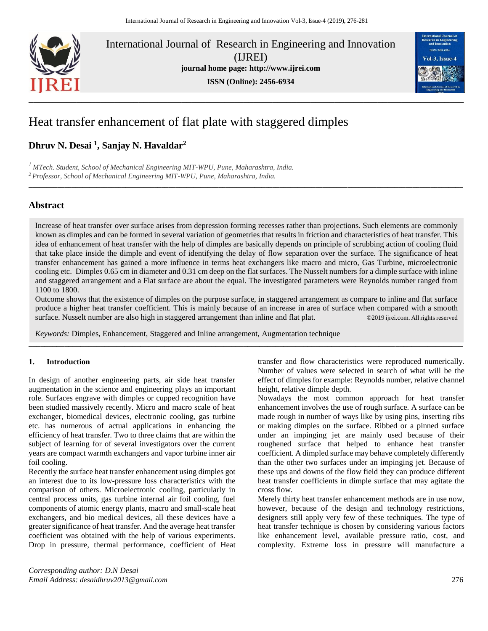

International Journal of Research in Engineering and Innovation (IJREI) **journal home page: [http://www.ijrei.com](http://www.ijrei.com/) ISSN (Online): 2456-6934**



# Heat transfer enhancement of flat plate with staggered dimples

# **Dhruv N. Desai <sup>1</sup> , Sanjay N. Havaldar<sup>2</sup>**

*<sup>1</sup>MTech. Student, School of Mechanical Engineering MIT-WPU, Pune, Maharashtra, India. <sup>2</sup>Professor, School of Mechanical Engineering MIT-WPU, Pune, Maharashtra, India.*

# **Abstract**

Increase of heat transfer over surface arises from depression forming recesses rather than projections. Such elements are commonly known as dimples and can be formed in several variation of geometries that results in friction and characteristics of heat transfer. This idea of enhancement of heat transfer with the help of dimples are basically depends on principle of scrubbing action of cooling fluid that take place inside the dimple and event of identifying the delay of flow separation over the surface. The significance of heat transfer enhancement has gained a more influence in terms heat exchangers like macro and micro, Gas Turbine, microelectronic cooling etc. Dimples 0.65 cm in diameter and 0.31 cm deep on the flat surfaces. The Nusselt numbers for a dimple surface with inline and staggered arrangement and a Flat surface are about the equal. The investigated parameters were Reynolds number ranged from 1100 to 1800.

**\_\_\_\_\_\_\_\_\_\_\_\_\_\_\_\_\_\_\_\_\_\_\_\_\_\_\_\_\_\_\_\_\_\_\_\_\_\_\_\_\_\_\_\_\_\_\_\_\_\_\_\_\_\_\_\_\_\_\_\_\_\_\_\_\_\_\_\_\_\_\_\_\_\_\_\_\_\_\_\_\_\_\_\_\_\_\_\_\_\_\_\_\_\_\_\_\_\_\_\_\_\_\_\_\_\_\_\_\_\_\_\_\_\_\_\_\_\_\_\_\_**

Outcome shows that the existence of dimples on the purpose surface, in staggered arrangement as compare to inline and flat surface produce a higher heat transfer coefficient. This is mainly because of an increase in area of surface when compared with a smooth surface. Nusselt number are also high in staggered arrangement than inline and flat plat. ©2019 ijrei.com. All rights reserved

**\_\_\_\_\_\_\_\_\_\_\_\_\_\_\_\_\_\_\_\_\_\_\_\_\_\_\_\_\_\_\_\_\_\_\_\_\_\_\_\_\_\_\_\_\_\_\_\_\_\_\_\_\_\_\_\_\_\_\_\_\_\_\_\_\_\_\_\_\_\_\_\_\_\_\_\_\_\_\_\_\_\_\_\_\_\_\_\_\_\_\_\_\_\_\_\_\_\_\_\_\_\_\_\_\_\_\_\_\_**

*Keywords:* Dimples, Enhancement, Staggered and Inline arrangement, Augmentation technique

# **1. Introduction**

In design of another engineering parts, air side heat transfer augmentation in the science and engineering plays an important role. Surfaces engrave with dimples or cupped recognition have been studied massively recently. Micro and macro scale of heat exchanger, biomedical devices, electronic cooling, gas turbine etc. has numerous of actual applications in enhancing the efficiency of heat transfer. Two to three claims that are within the subject of learning for of several investigators over the current years are compact warmth exchangers and vapor turbine inner air foil cooling.

Recently the surface heat transfer enhancement using dimples got an interest due to its low-pressure loss characteristics with the comparison of others. Microelectronic cooling, particularly in central process units, gas turbine internal air foil cooling, fuel components of atomic energy plants, macro and small-scale heat exchangers, and bio medical devices, all these devices have a greater significance of heat transfer. And the average heat transfer coefficient was obtained with the help of various experiments. Drop in pressure, thermal performance, coefficient of Heat

*Corresponding author: D.N Desai Email Address: desaidhruv2013@gmail.com* 276

transfer and flow characteristics were reproduced numerically. Number of values were selected in search of what will be the effect of dimples for example: Reynolds number, relative channel height, relative dimple depth.

Nowadays the most common approach for heat transfer enhancement involves the use of rough surface. A surface can be made rough in number of ways like by using pins, inserting ribs or making dimples on the surface. Ribbed or a pinned surface under an impinging jet are mainly used because of their roughened surface that helped to enhance heat transfer coefficient. A dimpled surface may behave completely differently than the other two surfaces under an impinging jet. Because of these ups and downs of the flow field they can produce different heat transfer coefficients in dimple surface that may agitate the cross flow.

Merely thirty heat transfer enhancement methods are in use now, however, because of the design and technology restrictions, designers still apply very few of these techniques. The type of heat transfer technique is chosen by considering various factors like enhancement level, available pressure ratio, cost, and complexity. Extreme loss in pressure will manufacture a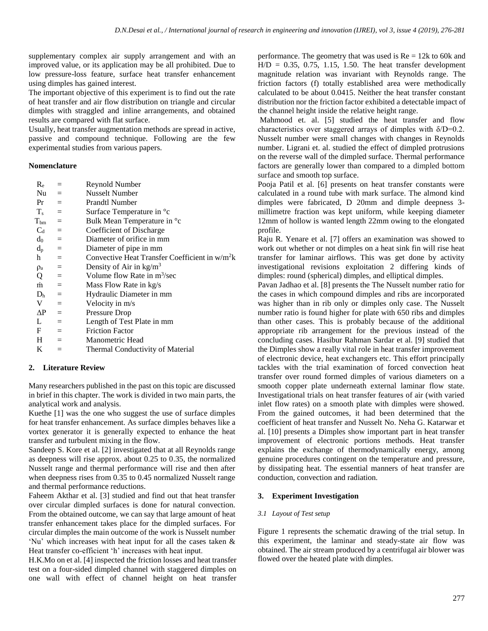supplementary complex air supply arrangement and with an improved value, or its application may be all prohibited. Due to low pressure-loss feature, surface heat transfer enhancement using dimples has gained interest.

The important objective of this experiment is to find out the rate of heat transfer and air flow distribution on triangle and circular dimples with straggled and inline arrangements, and obtained results are compared with flat surface.

Usually, heat transfer augmentation methods are spread in active, passive and compound technique. Following are the few experimental studies from various papers.

#### **Nomenclature**

| $R_{\rm e}$  |                           | Reynold Number                                   |
|--------------|---------------------------|--------------------------------------------------|
| Nu —         | $=$                       | Nusselt Number                                   |
| Pr           | $=$                       | <b>Prandtl Number</b>                            |
| $T_s =$      |                           | Surface Temperature in <sup>o</sup> c            |
| $T_{bm}$     | $=$                       | Bulk Mean Temperature in °c                      |
| $C_d =$      |                           | Coefficient of Discharge                         |
| $d_0 =$      |                           | Diameter of orifice in mm                        |
| $d_{p}$      | $=$                       | Diameter of pipe in mm                           |
| h            | $=$                       | Convective Heat Transfer Coefficient in $w/m^2k$ |
| $\rho_a$     | $=$                       | Density of Air in $\text{kg/m}^3$                |
| Q            | $\equiv$                  | Volume flow Rate in $m^3$ /sec                   |
| $\dot{m}$    | $=$                       | Mass Flow Rate in kg/s                           |
| $D_h =$      |                           | Hydraulic Diameter in mm                         |
| V            | $=$                       | Velocity in m/s                                  |
| $\Delta P =$ |                           | <b>Pressure Drop</b>                             |
| L            | $=$                       | Length of Test Plate in mm                       |
| F            | $\mathbf{r} = \mathbf{r}$ | <b>Friction Factor</b>                           |
| $H =$        |                           | Manometric Head                                  |
| K            | $=$                       | Thermal Conductivity of Material                 |
|              |                           |                                                  |

# **2. Literature Review**

Many researchers published in the past on this topic are discussed in brief in this chapter. The work is divided in two main parts, the analytical work and analysis.

Kuethe [1] was the one who suggest the use of surface dimples for heat transfer enhancement. As surface dimples behaves like a vortex generator it is generally expected to enhance the heat transfer and turbulent mixing in the flow.

Sandeep S. Kore et al. [2] investigated that at all Reynolds range as deepness will rise approx. about 0.25 to 0.35, the normalized Nusselt range and thermal performance will rise and then after when deepness rises from 0.35 to 0.45 normalized Nusselt range and thermal performance reductions.

Faheem Akthar et al. [3] studied and find out that heat transfer over circular dimpled surfaces is done for natural convection. From the obtained outcome, we can say that large amount of heat transfer enhancement takes place for the dimpled surfaces. For circular dimples the main outcome of the work is Nusselt number 'Nu' which increases with heat input for all the cases taken & Heat transfer co-efficient 'h' increases with heat input.

H.K.Mo on et al. [4] inspected the friction losses and heat transfer test on a four-sided dimpled channel with staggered dimples on one wall with effect of channel height on heat transfer

performance. The geometry that was used is  $Re = 12k$  to 60k and  $H/D = 0.35, 0.75, 1.15, 1.50$ . The heat transfer development magnitude relation was invariant with Reynolds range. The friction factors (f) totally established area were methodically calculated to be about 0.0415. Neither the heat transfer constant distribution nor the friction factor exhibited a detectable impact of the channel height inside the relative height range.

Mahmood et. al. [5] studied the heat transfer and flow characteristics over staggered arrays of dimples with  $\delta/D=0.2$ . Nusselt number were small changes with changes in Reynolds number. Ligrani et. al. studied the effect of dimpled protrusions on the reverse wall of the dimpled surface. Thermal performance factors are generally lower than compared to a dimpled bottom surface and smooth top surface.

Pooja Patil et al. [6] presents on heat transfer constants were calculated in a round tube with mark surface. The almond kind dimples were fabricated, D 20mm and dimple deepness 3 millimetre fraction was kept uniform, while keeping diameter 12mm of hollow is wanted length 22mm owing to the elongated profile.

Raju R. Yenare et al. [7] offers an examination was showed to work out whether or not dimples on a heat sink fin will rise heat transfer for laminar airflows. This was get done by activity investigational revisions exploitation 2 differing kinds of dimples: round (spherical) dimples, and elliptical dimples.

Pavan Jadhao et al. [8] presents the The Nusselt number ratio for the cases in which compound dimples and ribs are incorporated was higher than in rib only or dimples only case. The Nusselt number ratio is found higher for plate with 650 ribs and dimples than other cases. This is probably because of the additional appropriate rib arrangement for the previous instead of the concluding cases. Hasibur Rahman Sardar et al. [9] studied that the Dimples show a really vital role in heat transfer improvement of electronic device, heat exchangers etc. This effort principally tackles with the trial examination of forced convection heat transfer over round formed dimples of various diameters on a smooth copper plate underneath external laminar flow state. Investigational trials on heat transfer features of air (with varied inlet flow rates) on a smooth plate with dimples were showed. From the gained outcomes, it had been determined that the coefficient of heat transfer and Nusselt No. Neha G. Katarwar et al. [10] presents a Dimples show important part in heat transfer improvement of electronic portions methods. Heat transfer explains the exchange of thermodynamically energy, among genuine procedures contingent on the temperature and pressure, by dissipating heat. The essential manners of heat transfer are conduction, convection and radiation.

# **3. Experiment Investigation**

# *3.1 Layout of Test setup*

Figure 1 represents the schematic drawing of the trial setup. In this experiment, the laminar and steady-state air flow was obtained. The air stream produced by a centrifugal air blower was flowed over the heated plate with dimples.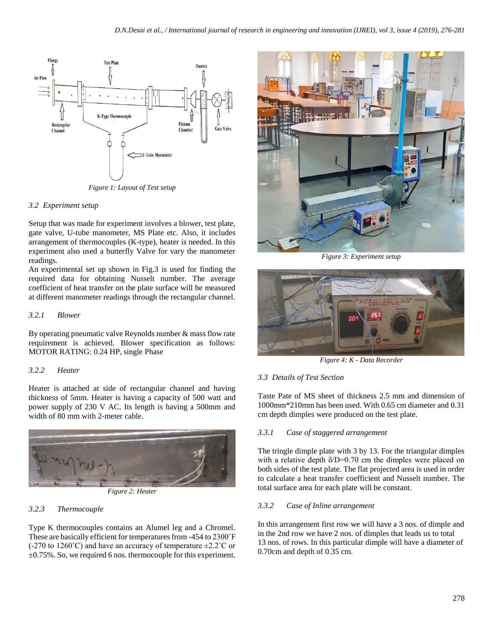

*Figure 1: Layout of Test setup*

#### *3.2 Experiment setup*

Setup that was made for experiment involves a blower, test plate, gate valve, U-tube manometer, MS Plate etc. Also, it includes arrangement of thermocouples (K-type), heater is needed. In this experiment also used a butterfly Valve for vary the manometer readings.

An experimental set up shown in Fig.3 is used for finding the required data for obtaining Nusselt number. The average coefficient of heat transfer on the plate surface will be measured at different manometer readings through the rectangular channel.

# *3.2.1 Blower*

By operating pneumatic valve Reynolds number & mass flow rate requirement is achieved. Blower specification as follows: MOTOR RATING: 0.24 HP, single Phase

# *3.2.2 Heater*

Heater is attached at side of rectangular channel and having thickness of 5mm. Heater is having a capacity of 500 watt and power supply of 230 V AC. Its length is having a 500mm and width of 80 mm with 2-meter cable.



*Figure 2: Heater*

# *3.2.3 Thermocouple*

Type K thermocouples contains an Alumel leg and a Chromel. These are basically efficient for temperatures from -454 to 2300˚F  $(-270 \text{ to } 1260^{\circ}\text{C})$  and have an accuracy of temperature  $\pm 2.2^{\circ}\text{C}$  or  $\pm 0.75\%$ . So, we required 6 nos. thermocouple for this experiment.



*Figure 3: Experiment setup*



*Figure 4: K - Data Recorder*

# *3.3 Details of Test Section*

Taste Pate of MS sheet of thickness 2.5 mm and dimension of 1000mm\*210mm has been used. With 0.65 cm diameter and 0.31 cm depth dimples were produced on the test plate.

#### *3.3.1 Case of staggered arrangement*

The tringle dimple plate with 3 by 13. For the triangular dimples with a relative depth  $\delta/D=0.70$  cm the dimples were placed on both sides of the test plate. The flat projected area is used in order to calculate a heat transfer coefficient and Nusselt number. The total surface area for each plate will be constant.

#### *3.3.2 Case of Inline arrangement*

In this arrangement first row we will have a 3 nos. of dimple and in the 2nd row we have 2 nos. of dimples that leads us to total 13 nos. of rows. In this particular dimple will have a diameter of 0.70cm and depth of 0.35 cm.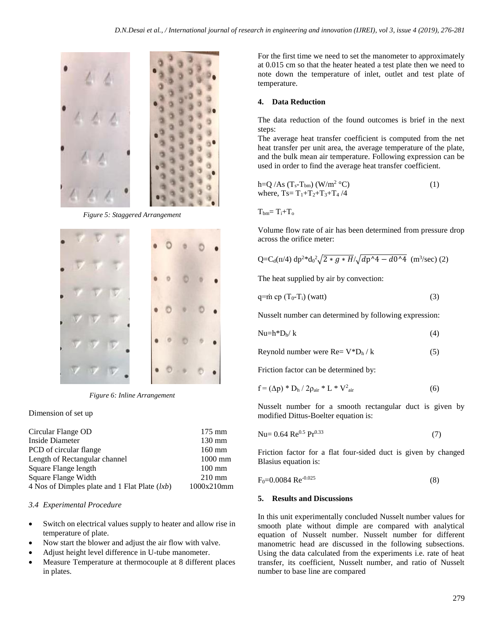

*Figure 5: Staggered Arrangement*



*Figure 6: Inline Arrangement*

#### Dimension of set up

| Circular Flange OD                              | $175 \text{ mm}$ |
|-------------------------------------------------|------------------|
| Inside Diameter                                 | $130 \text{ mm}$ |
| PCD of circular flange                          | $160$ mm         |
| Length of Rectangular channel                   | $1000$ mm        |
| Square Flange length                            | $100 \text{ mm}$ |
| Square Flange Width                             | $210 \text{ mm}$ |
| 4 Nos of Dimples plate and 1 Flat Plate $(lxb)$ | 1000x210mm       |

#### *3.4 Experimental Procedure*

- Switch on electrical values supply to heater and allow rise in temperature of plate.
- Now start the blower and adjust the air flow with valve.
- Adjust height level difference in U-tube manometer.
- Measure Temperature at thermocouple at 8 different places in plates.

For the first time we need to set the manometer to approximately at 0.015 cm so that the heater heated a test plate then we need to note down the temperature of inlet, outlet and test plate of temperature.

#### **4. Data Reduction**

The data reduction of the found outcomes is brief in the next steps:

The average heat transfer coefficient is computed from the net heat transfer per unit area, the average temperature of the plate, and the bulk mean air temperature. Following expression can be used in order to find the average heat transfer coefficient.

$$
h=Q/As (Ts-Tbm) (W/m2 °C)
$$
  
where, Ts=T<sub>1</sub>+T<sub>2</sub>+T<sub>3</sub>+T<sub>4</sub>/4 (1)

 $T_{bm} = T_i + T_o$ 

Volume flow rate of air has been determined from pressure drop across the orifice meter:

$$
Q = C_d(\pi/4) \, dp^2 * d_0^2 \sqrt{2 * g * H} / \sqrt{dp^2 + d_0^2} \, (m^3/sec) (2)
$$

The heat supplied by air by convection:

$$
q = \dot{m} \, cp \left( T_0 - T_i \right) \, (watt) \tag{3}
$$

Nusselt number can determined by following expression:

$$
Nu=h^*D_h/k
$$
 (4)

Reynold number were  $\text{Re}=V^*D_h/k$  (5)

Friction factor can be determined by:

$$
f = (\Delta p) * D_h / 2\rho_{air} * L * V^2_{air}
$$
 (6)

Nusselt number for a smooth rectangular duct is given by modified Dittus-Boelter equation is:

$$
Nu = 0.64 \text{ Re}^{0.5} \text{ Pr}^{0.33} \tag{7}
$$

Friction factor for a flat four-sided duct is given by changed Blasius equation is:

$$
F_0 = 0.0084 \text{ Re}^{-0.025} \tag{8}
$$

#### **5. Results and Discussions**

In this unit experimentally concluded Nusselt number values for smooth plate without dimple are compared with analytical equation of Nusselt number. Nusselt number for different manometric head are discussed in the following subsections. Using the data calculated from the experiments i.e. rate of heat transfer, its coefficient, Nusselt number, and ratio of Nusselt number to base line are compared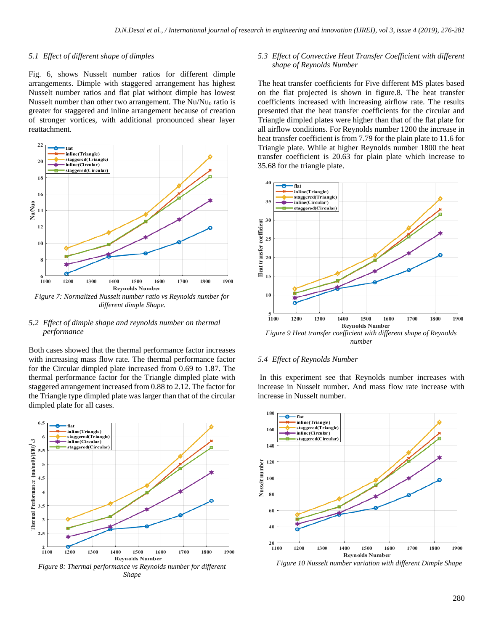#### *5.1 Effect of different shape of dimples*

Fig. 6, shows Nusselt number ratios for different dimple arrangements. Dimple with staggered arrangement has highest Nusselt number ratios and flat plat without dimple has lowest Nusselt number than other two arrangement. The  $Nu/Nu_0$  ratio is greater for staggered and inline arrangement because of creation of stronger vortices, with additional pronounced shear layer reattachment.



#### *5.2 Effect of dimple shape and reynolds number on thermal performance*

Both cases showed that the thermal performance factor increases with increasing mass flow rate. The thermal performance factor for the Circular dimpled plate increased from 0.69 to 1.87. The thermal performance factor for the Triangle dimpled plate with staggered arrangement increased from 0.88 to 2.12. The factor for the Triangle type dimpled plate was larger than that of the circular dimpled plate for all cases.



#### *5.3 Effect of Convective Heat Transfer Coefficient with different shape of Reynolds Number*

The heat transfer coefficients for Five different MS plates based on the flat projected is shown in figure.8. The heat transfer coefficients increased with increasing airflow rate. The results presented that the heat transfer coefficients for the circular and Triangle dimpled plates were higher than that of the flat plate for all airflow conditions. For Reynolds number 1200 the increase in heat transfer coefficient is from 7.79 for the plain plate to 11.6 for Triangle plate. While at higher Reynolds number 1800 the heat transfer coefficient is 20.63 for plain plate which increase to 35.68 for the triangle plate.



*number*

#### *5.4 Effect of Reynolds Number*

In this experiment see that Reynolds number increases with increase in Nusselt number. And mass flow rate increase with increase in Nusselt number.



 *Figure 10 Nusselt number variation with different Dimple Shape*